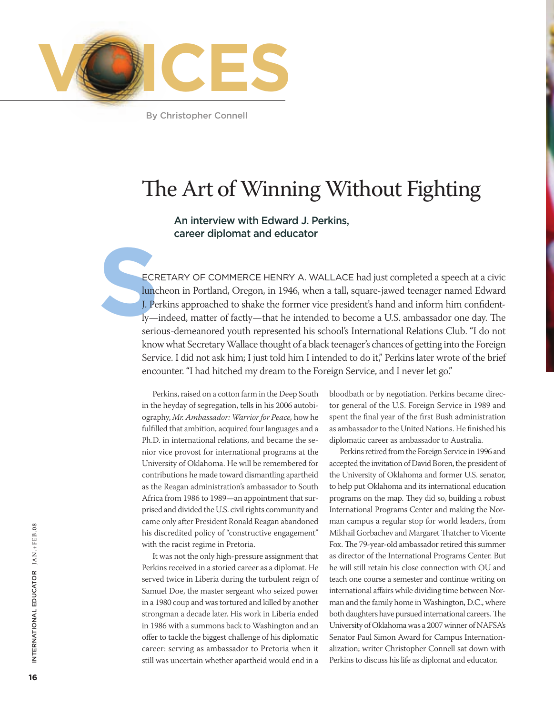

By Christopher Connell

# The Art of Winning Without Fighting

# An interview with Edward J. Perkins, career diplomat and educator

ECRETARY (<br>
luncheon in l<br>
J. Perkins app<br>
ly—indeed, n ecretary of Commerce Henry A. Wallace had just completed a speech at a civic luncheon in Portland, Oregon, in 1946, when a tall, square-jawed teenager named Edward J. Perkins approached to shake the former vice president's hand and inform him confidently—indeed, matter of factly—that he intended to become a U.S. ambassador one day. The serious-demeanored youth represented his school's International Relations Club. "I do not know what Secretary Wallace thought of a black teenager's chances of getting into the Foreign Service. I did not ask him; I just told him I intended to do it," Perkins later wrote of the brief encounter. "I had hitched my dream to the Foreign Service, and I never let go."

> Perkins, raised on a cotton farm in the Deep South in the heyday of segregation, tells in his 2006 autobiography, *Mr. Ambassador: Warrior for Peace,* how he fulfilled that ambition, acquired four languages and a Ph.D. in international relations, and became the senior vice provost for international programs at the University of Oklahoma. He will be remembered for contributions he made toward dismantling apartheid as the Reagan administration's ambassador to South Africa from 1986 to 1989—an appointment that surprised and divided the U.S. civil rights community and came only after President Ronald Reagan abandoned his discredited policy of "constructive engagement" with the racist regime in Pretoria.

> It was not the only high-pressure assignment that Perkins received in a storied career as a diplomat. He served twice in Liberia during the turbulent reign of Samuel Doe, the master sergeant who seized power in a 1980 coup and was tortured and killed by another strongman a decade later. His work in Liberia ended in 1986 with a summons back to Washington and an offer to tackle the biggest challenge of his diplomatic career: serving as ambassador to Pretoria when it still was uncertain whether apartheid would end in a

bloodbath or by negotiation. Perkins became director general of the U.S. Foreign Service in 1989 and spent the final year of the first Bush administration as ambassador to the United Nations. He finished his diplomatic career as ambassador to Australia.

Perkins retired from the Foreign Service in 1996 and accepted the invitation of David Boren, the president of the University of Oklahoma and former U.S. senator, to help put Oklahoma and its international education programs on the map. They did so, building a robust International Programs Center and making the Norman campus a regular stop for world leaders, from Mikhail Gorbachev and Margaret Thatcher to Vicente Fox. The 79-year-old ambassador retired this summer as director of the International Programs Center. But he will still retain his close connection with OU and teach one course a semester and continue writing on international affairs while dividing time between Norman and the family home in Washington, D.C., where both daughters have pursued international careers. The University of Oklahoma was a 2007 winner of NAFSA's Senator Paul Simon Award for Campus Internationalization; writer Christopher Connell sat down with Perkins to discuss his life as diplomat and educator.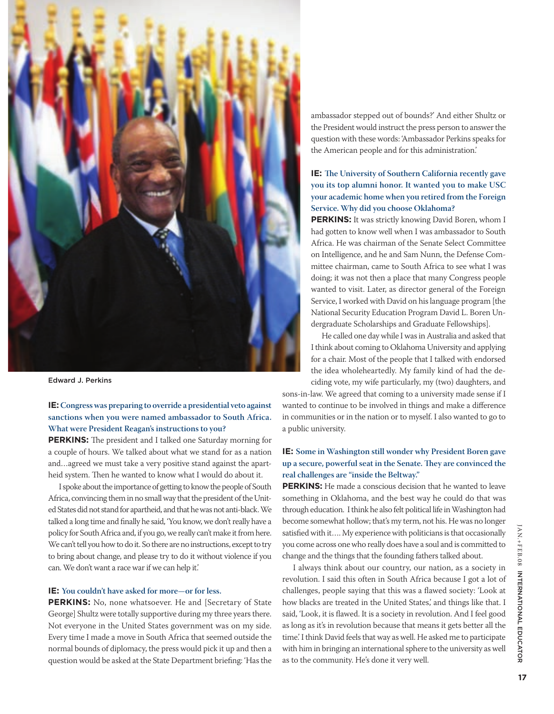

Edward J. Perkins

**IE: Congress was preparing to override a presidential veto against sanctions when you were named ambassador to South Africa. What were President Reagan's instructions to you?**

**PERKINS:** The president and I talked one Saturday morning for a couple of hours. We talked about what we stand for as a nation and…agreed we must take a very positive stand against the apartheid system. Then he wanted to know what I would do about it.

I spoke about the importance of getting to know the people of South Africa, convincing them in no small way that the president of the United States did not stand for apartheid, and that he was not anti-black. We talked a long time and finally he said, 'You know, we don't really have a policy for South Africa and, if you go, we really can't make it from here. We can't tell you how to do it. So there are no instructions, except to try to bring about change, and please try to do it without violence if you can. We don't want a race war if we can help it.'

#### **IE: You couldn't have asked for more—or for less.**

**PERKINS:** No, none whatsoever. He and [Secretary of State] George] Shultz were totally supportive during my three years there. Not everyone in the United States government was on my side. Every time I made a move in South Africa that seemed outside the normal bounds of diplomacy, the press would pick it up and then a question would be asked at the State Department briefing: 'Has the

ambassador stepped out of bounds?' And either Shultz or the President would instruct the press person to answer the question with these words: 'Ambassador Perkins speaks for the American people and for this administration.'

# **IE: The University of Southern California recently gave you its top alumni honor. It wanted you to make USC your academic home when you retired from the Foreign Service. Why did you choose Oklahoma?**

**PERKINS:** It was strictly knowing David Boren, whom I had gotten to know well when I was ambassador to South Africa. He was chairman of the Senate Select Committee on Intelligence, and he and Sam Nunn, the Defense Committee chairman, came to South Africa to see what I was doing; it was not then a place that many Congress people wanted to visit. Later, as director general of the Foreign Service, I worked with David on his language program [the National Security Education Program David L. Boren Undergraduate Scholarships and Graduate Fellowships].

He called one day while I was in Australia and asked that I think about coming to Oklahoma University and applying for a chair. Most of the people that I talked with endorsed the idea wholeheartedly. My family kind of had the deciding vote, my wife particularly, my (two) daughters, and

sons-in-law. We agreed that coming to a university made sense if I wanted to continue to be involved in things and make a difference in communities or in the nation or to myself. I also wanted to go to a public university.

# **IE: Some in Washington still wonder why President Boren gave up a secure, powerful seat in the Senate. They are convinced the real challenges are "inside the Beltway."**

**Perkins:** He made a conscious decision that he wanted to leave something in Oklahoma, and the best way he could do that was through education. I think he also felt political life in Washington had become somewhat hollow; that's my term, not his. He was no longer satisfied with it…. My experience with politicians is that occasionally you come across one who really does have a soul and is committed to change and the things that the founding fathers talked about.

I always think about our country, our nation, as a society in revolution. I said this often in South Africa because I got a lot of challenges, people saying that this was a flawed society: 'Look at how blacks are treated in the United States,' and things like that. I said, 'Look, it is flawed. It is a society in revolution. And I feel good as long as it's in revolution because that means it gets better all the time.' I think David feels that way as well. He asked me to participate with him in bringing an international sphere to the university as well as to the community. He's done it very well.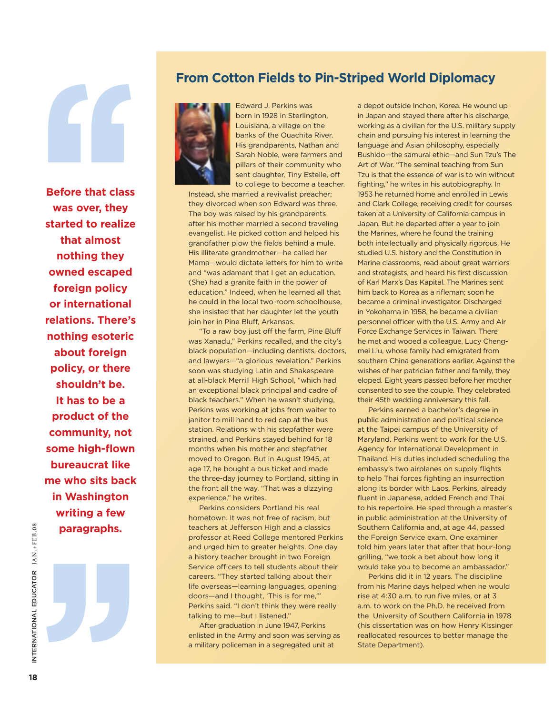**Before that class was over, they started to realize that almost nothing they owned escaped foreign policy or international relations. There's nothing esoteric about foreign policy, or there shouldn't be. It has to be a product of the community, not some high-flown bureaucrat like me who sits back in Washington writing a few paragraphs.**

# **From Cotton Fields to Pin-Striped World Diplomacy**



Edward J. Perkins was born in 1928 in Sterlington, Louisiana, a village on the banks of the Ouachita River. His grandparents, Nathan and Sarah Noble, were farmers and pillars of their community who sent daughter, Tiny Estelle, off to college to become a teacher.

Instead, she married a revivalist preacher; they divorced when son Edward was three. The boy was raised by his grandparents after his mother married a second traveling evangelist. He picked cotton and helped his grandfather plow the fields behind a mule. His illiterate grandmother—he called her Mama—would dictate letters for him to write and "was adamant that I get an education. (She) had a granite faith in the power of education." Indeed, when he learned all that he could in the local two-room schoolhouse, she insisted that her daughter let the youth join her in Pine Bluff, Arkansas.

"To a raw boy just off the farm, Pine Bluff was Xanadu," Perkins recalled, and the city's black population—including dentists, doctors, and lawyers—"a glorious revelation." Perkins soon was studying Latin and Shakespeare at all-black Merrill High School, "which had an exceptional black principal and cadre of black teachers." When he wasn't studying, Perkins was working at jobs from waiter to janitor to mill hand to red cap at the bus station. Relations with his stepfather were strained, and Perkins stayed behind for 18 months when his mother and stepfather moved to Oregon. But in August 1945, at age 17, he bought a bus ticket and made the three-day journey to Portland, sitting in the front all the way. "That was a dizzying experience," he writes.

Perkins considers Portland his real hometown. It was not free of racism, but teachers at Jefferson High and a classics professor at Reed College mentored Perkins and urged him to greater heights. One day a history teacher brought in two Foreign Service officers to tell students about their careers. "They started talking about their life overseas—learning languages, opening doors—and I thought, 'This is for me,'" Perkins said. "I don't think they were really talking to me—but I listened."

After graduation in June 1947, Perkins enlisted in the Army and soon was serving as a military policeman in a segregated unit at

a depot outside Inchon, Korea. He wound up in Japan and stayed there after his discharge, working as a civilian for the U.S. military supply chain and pursuing his interest in learning the language and Asian philosophy, especially Bushido—the samurai ethic—and Sun Tzu's The Art of War. "The seminal teaching from Sun Tzu is that the essence of war is to win without fighting," he writes in his autobiography. In 1953 he returned home and enrolled in Lewis and Clark College, receiving credit for courses taken at a University of California campus in Japan. But he departed after a year to join the Marines, where he found the training both intellectually and physically rigorous. He studied U.S. history and the Constitution in Marine classrooms, read about great warriors and strategists, and heard his first discussion of Karl Marx's Das Kapital. The Marines sent him back to Korea as a rifleman; soon he became a criminal investigator. Discharged in Yokohama in 1958, he became a civilian personnel officer with the U.S. Army and Air Force Exchange Services in Taiwan. There he met and wooed a colleague, Lucy Chengmei Liu, whose family had emigrated from southern China generations earlier. Against the wishes of her patrician father and family, they eloped. Eight years passed before her mother consented to see the couple. They celebrated their 45th wedding anniversary this fall.

Perkins earned a bachelor's degree in public administration and political science at the Taipei campus of the University of Maryland. Perkins went to work for the U.S. Agency for International Development in Thailand. His duties included scheduling the embassy's two airplanes on supply flights to help Thai forces fighting an insurrection along its border with Laos. Perkins, already fluent in Japanese, added French and Thai to his repertoire. He sped through a master's in public administration at the University of Southern California and, at age 44, passed the Foreign Service exam. One examiner told him years later that after that hour-long grilling, "we took a bet about how long it would take you to become an ambassador."

Perkins did it in 12 years. The discipline from his Marine days helped when he would rise at 4:30 a.m. to run five miles, or at 3 a.m. to work on the Ph.D. he received from the University of Southern California in 1978 (his dissertation was on how Henry Kissinger reallocated resources to better manage the State Department).